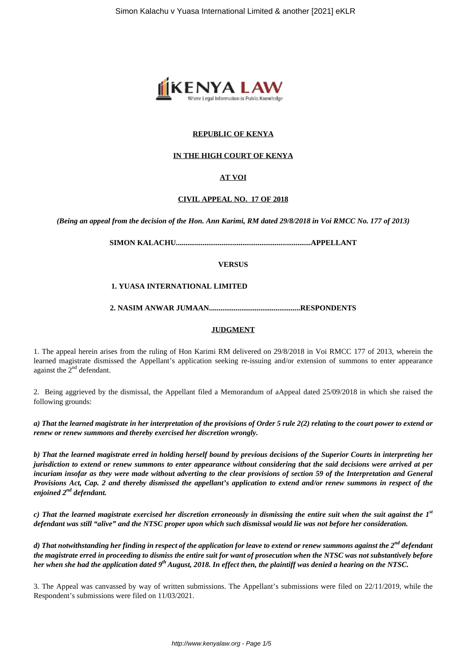

## **REPUBLIC OF KENYA**

#### **IN THE HIGH COURT OF KENYA**

## **AT VOI**

#### **CIVIL APPEAL NO. 17 OF 2018**

*(Being an appeal from the decision of the Hon. Ann Karimi, RM dated 29/8/2018 in Voi RMCC No. 177 of 2013)*

**SIMON KALACHU.......................................................................APPELLANT**

**VERSUS**

#### **1. YUASA INTERNATIONAL LIMITED**

**2. NASIM ANWAR JUMAAN................................................RESPONDENTS**

#### **JUDGMENT**

1. The appeal herein arises from the ruling of Hon Karimi RM delivered on 29/8/2018 in Voi RMCC 177 of 2013, wherein the learned magistrate dismissed the Appellant's application seeking re-issuing and/or extension of summons to enter appearance against the  $2<sup>nd</sup>$  defendant.

2. Being aggrieved by the dismissal, the Appellant filed a Memorandum of aAppeal dated 25/09/2018 in which she raised the following grounds:

*a) That the learned magistrate in her interpretation of the provisions of Order 5 rule 2(2) relating to the court power to extend or renew or renew summons and thereby exercised her discretion wrongly.*

*b) That the learned magistrate erred in holding herself bound by previous decisions of the Superior Courts in interpreting her jurisdiction to extend or renew summons to enter appearance without considering that the said decisions were arrived at per incuriam insofar as they were made without adverting to the clear provisions of section 59 of the Interpretation and General Provisions Act, Cap. 2 and thereby dismissed the appellant's application to extend and/or renew summons in respect of the enjoined 2nd defendant.*

*c) That the learned magistrate exercised her discretion erroneously in dismissing the entire suit when the suit against the 1st defendant was still "alive" and the NTSC proper upon which such dismissal would lie was not before her consideration.*

*d) That notwithstanding her finding in respect of the application for leave to extend or renew summons against the 2nd defendant the magistrate erred in proceeding to dismiss the entire suit for want of prosecution when the NTSC was not substantively before her when she had the application dated 9th August, 2018. In effect then, the plaintiff was denied a hearing on the NTSC.*

3. The Appeal was canvassed by way of written submissions. The Appellant's submissions were filed on 22/11/2019, while the Respondent's submissions were filed on 11/03/2021.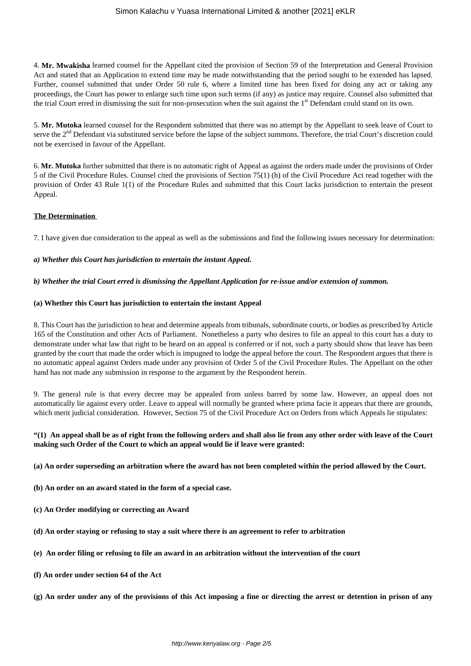4. **Mr. Mwakisha** learned counsel for the Appellant cited the provision of Section 59 of the Interpretation and General Provision Act and stated that an Application to extend time may be made notwithstanding that the period sought to be extended has lapsed. Further, counsel submitted that under Order 50 rule 6, where a limited time has been fixed for doing any act or taking any proceedings, the Court has power to enlarge such time upon such terms (if any) as justice may require. Counsel also submitted that the trial Court erred in dismissing the suit for non-prosecution when the suit against the  $1<sup>st</sup>$  Defendant could stand on its own.

5. **Mr. Mutoka** learned counsel for the Respondent submitted that there was no attempt by the Appellant to seek leave of Court to serve the 2<sup>nd</sup> Defendant via substituted service before the lapse of the subject summons. Therefore, the trial Court's discretion could not be exercised in favour of the Appellant.

6. **Mr. Mutoka** further submitted that there is no automatic right of Appeal as against the orders made under the provisions of Order 5 of the Civil Procedure Rules. Counsel cited the provisions of Section 75(1) (h) of the Civil Procedure Act read together with the provision of Order 43 Rule 1(1) of the Procedure Rules and submitted that this Court lacks jurisdiction to entertain the present Appeal.

## **The Determination**

7. I have given due consideration to the appeal as well as the submissions and find the following issues necessary for determination:

## *a) Whether this Court has jurisdiction to entertain the instant Appeal.*

## *b) Whether the trial Court erred is dismissing the Appellant Application for re-issue and/or extension of summon.*

## **(a) Whether this Court has jurisdiction to entertain the instant Appeal**

8. This Court has the jurisdiction to hear and determine appeals from tribunals, subordinate courts, or bodies as prescribed by Article 165 of the Constitution and other Acts of Parliament. Nonetheless a party who desires to file an appeal to this court has a duty to demonstrate under what law that right to be heard on an appeal is conferred or if not, such a party should show that leave has been granted by the court that made the order which is impugned to lodge the appeal before the court. The Respondent argues that there is no automatic appeal against Orders made under any provision of Order 5 of the Civil Procedure Rules. The Appellant on the other hand has not made any submission in response to the argument by the Respondent herein.

9. The general rule is that every decree may be appealed from unless barred by some law. However, an appeal does not automatically lie against every order. Leave to appeal will normally be granted where prima facie it appears that there are grounds, which merit judicial consideration. However, Section 75 of the Civil Procedure Act on Orders from which Appeals lie stipulates:

## **"(1) An appeal shall be as of right from the following orders and shall also lie from any other order with leave of the Court making such Order of the Court to which an appeal would lie if leave were granted:**

#### **(a) An order superseding an arbitration where the award has not been completed within the period allowed by the Court.**

**(b) An order on an award stated in the form of a special case.**

- **(c) An Order modifying or correcting an Award**
- **(d) An order staying or refusing to stay a suit where there is an agreement to refer to arbitration**
- **(e) An order filing or refusing to file an award in an arbitration without the intervention of the court**
- **(f) An order under section 64 of the Act**
- **(g) An order under any of the provisions of this Act imposing a fine or directing the arrest or detention in prison of any**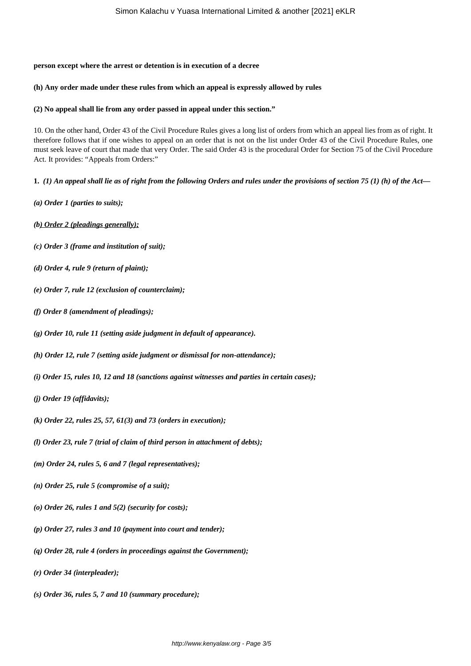#### **person except where the arrest or detention is in execution of a decree**

#### **(h) Any order made under these rules from which an appeal is expressly allowed by rules**

#### **(2) No appeal shall lie from any order passed in appeal under this section."**

10. On the other hand, Order 43 of the Civil Procedure Rules gives a long list of orders from which an appeal lies from as of right. It therefore follows that if one wishes to appeal on an order that is not on the list under Order 43 of the Civil Procedure Rules, one must seek leave of court that made that very Order. The said Order 43 is the procedural Order for Section 75 of the Civil Procedure Act. It provides: "Appeals from Orders:"

**1.** *(1) An appeal shall lie as of right from the following Orders and rules under the provisions of section 75 (1) (h) of the Act—*

- *(a) Order 1 (parties to suits);*
- *(b) Order 2 (pleadings generally);*
- *(c) Order 3 (frame and institution of suit);*
- *(d) Order 4, rule 9 (return of plaint);*
- *(e) Order 7, rule 12 (exclusion of counterclaim);*
- *(f) Order 8 (amendment of pleadings);*
- *(g) Order 10, rule 11 (setting aside judgment in default of appearance).*
- *(h) Order 12, rule 7 (setting aside judgment or dismissal for non-attendance);*
- *(i) Order 15, rules 10, 12 and 18 (sanctions against witnesses and parties in certain cases);*
- *(j) Order 19 (affidavits);*
- *(k) Order 22, rules 25, 57, 61(3) and 73 (orders in execution);*
- *(l) Order 23, rule 7 (trial of claim of third person in attachment of debts);*
- *(m) Order 24, rules 5, 6 and 7 (legal representatives);*
- *(n) Order 25, rule 5 (compromise of a suit);*
- *(o) Order 26, rules 1 and 5(2) (security for costs);*
- *(p) Order 27, rules 3 and 10 (payment into court and tender);*
- *(q) Order 28, rule 4 (orders in proceedings against the Government);*
- *(r) Order 34 (interpleader);*
- *(s) Order 36, rules 5, 7 and 10 (summary procedure);*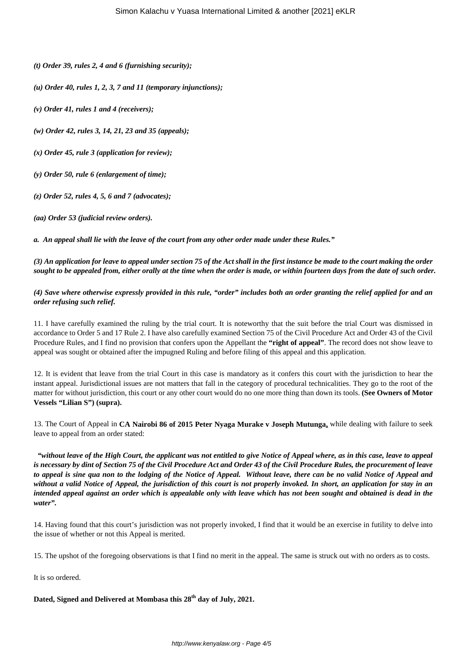*(t) Order 39, rules 2, 4 and 6 (furnishing security);*

- *(u) Order 40, rules 1, 2, 3, 7 and 11 (temporary injunctions);*
- *(v) Order 41, rules 1 and 4 (receivers);*

*(w) Order 42, rules 3, 14, 21, 23 and 35 (appeals);*

*(x) Order 45, rule 3 (application for review);*

*(y) Order 50, rule 6 (enlargement of time);*

- *(z) Order 52, rules 4, 5, 6 and 7 (advocates);*
- *(aa) Order 53 (judicial review orders).*

*a. An appeal shall lie with the leave of the court from any other order made under these Rules."*

*(3) An application for leave to appeal under section 75 of the Act shall in the first instance be made to the court making the order sought to be appealed from, either orally at the time when the order is made, or within fourteen days from the date of such order.*

*(4) Save where otherwise expressly provided in this rule, "order" includes both an order granting the relief applied for and an order refusing such relief.*

11. I have carefully examined the ruling by the trial court. It is noteworthy that the suit before the trial Court was dismissed in accordance to Order 5 and 17 Rule 2. I have also carefully examined Section 75 of the Civil Procedure Act and Order 43 of the Civil Procedure Rules, and I find no provision that confers upon the Appellant the **"right of appeal"**. The record does not show leave to appeal was sought or obtained after the impugned Ruling and before filing of this appeal and this application.

12. It is evident that leave from the trial Court in this case is mandatory as it confers this court with the jurisdiction to hear the instant appeal. Jurisdictional issues are not matters that fall in the category of procedural technicalities. They go to the root of the matter for without jurisdiction, this court or any other court would do no one more thing than down its tools. **(See Owners of Motor Vessels "Lilian S") (supra).**

13. The Court of Appeal in **CA Nairobi 86 of 2015 Peter Nyaga Murake v Joseph Mutunga,** while dealing with failure to seek leave to appeal from an order stated:

*"without leave of the High Court, the applicant was not entitled to give Notice of Appeal where, as in this case, leave to appeal is necessary by dint of Section 75 of the Civil Procedure Act and Order 43 of the Civil Procedure Rules, the procurement of leave to appeal is sine qua non to the lodging of the Notice of Appeal. Without leave, there can be no valid Notice of Appeal and without a valid Notice of Appeal, the jurisdiction of this court is not properly invoked. In short, an application for stay in an intended appeal against an order which is appealable only with leave which has not been sought and obtained is dead in the water".*

14. Having found that this court's jurisdiction was not properly invoked, I find that it would be an exercise in futility to delve into the issue of whether or not this Appeal is merited.

15. The upshot of the foregoing observations is that I find no merit in the appeal. The same is struck out with no orders as to costs.

It is so ordered.

**Dated, Signed and Delivered at Mombasa this 28th day of July, 2021.**